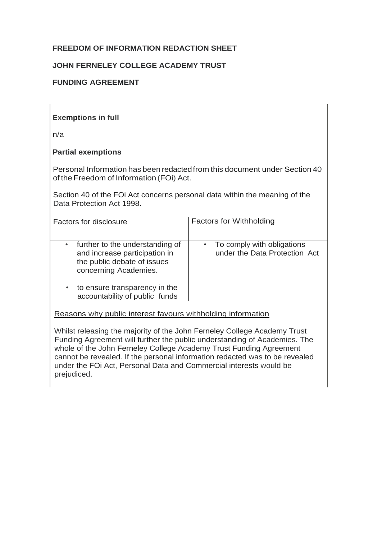# **FREEDOM OF INFORMATION REDACTION SHEET**

## **JOHN FERNELEY COLLEGE ACADEMY TRUST**

## **FUNDING AGREEMENT**

## **Exemptions in full**

n/a

## **Partial exemptions**

Personal Information has been redactedfrom this document under Section 40 of the Freedom of Information (FOi) Act.

Section 40 of the FOi Act concerns personal data within the meaning of the Data Protection Act 1998.

| Factors for disclosure                                                                                                                                                                                | <b>Factors for Withholding</b>                                |
|-------------------------------------------------------------------------------------------------------------------------------------------------------------------------------------------------------|---------------------------------------------------------------|
| further to the understanding of<br>٠<br>and increase participation in<br>the public debate of issues<br>concerning Academies.<br>to ensure transparency in the<br>٠<br>accountability of public funds | • To comply with obligations<br>under the Data Protection Act |
|                                                                                                                                                                                                       |                                                               |

Reasons why public interest favours withholding information

Whilst releasing the majority of the John Ferneley College Academy Trust Funding Agreement will further the public understanding of Academies. The whole of the John Ferneley College Academy Trust Funding Agreement cannot be revealed. If the personal information redacted was to be revealed under the FOi Act, Personal Data and Commercial interests would be prejudiced.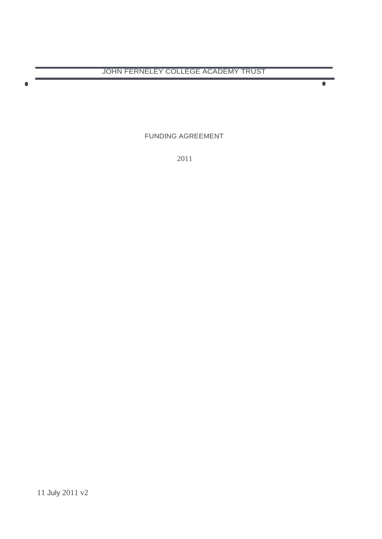$\bullet$  •  $\bullet$  •  $\bullet$  •  $\bullet$  •  $\bullet$  •  $\bullet$  •  $\bullet$  •  $\bullet$  •  $\bullet$  •  $\bullet$  •  $\bullet$  •  $\bullet$  •  $\bullet$  •  $\bullet$  •  $\bullet$  •  $\bullet$  •  $\bullet$  •  $\bullet$  •  $\bullet$  •  $\bullet$  •  $\bullet$  •  $\bullet$  •  $\bullet$  •  $\bullet$  •  $\bullet$  •  $\bullet$  •  $\bullet$  •  $\bullet$  •  $\bullet$  •  $\bullet$  •  $\bullet$  •  $\bullet$ 

FUNDING AGREEMENT

2011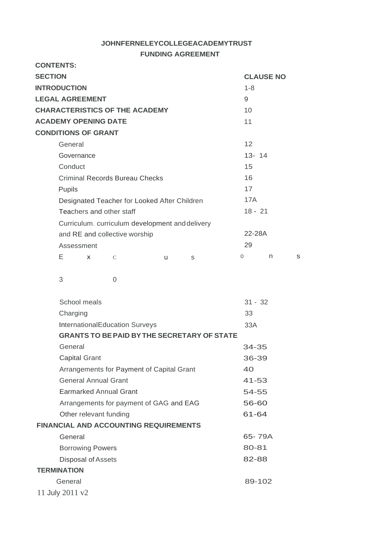### **JOHNFERNELEYCOLLEGEACADEMYTRUST FUNDING AGREEMENT**

#### **CONTENTS: SECTION INTRODUCTION CLAUSE NO** 1-8 **LEGAL AGREEMENT CHARACTERISTICS OF THE ACADEMY ACADEMY OPENING DATE CONDITIONS OF GRANT** General **Governance Conduct** Criminal Records Bureau Checks Pupils Designated Teacher for Looked After Children Teachers and other staff Curriculum. curriculum development anddelivery and RE and collective worship Assessment E **X** C u s 3 0 9 10 11 12 13- 14 15 16 17 17A 18 - 21 22-28A 29 0 n s School meals 31 - 32 Charging 33 InternationalEducation Surveys **GRANTS TO BEPAID BYTHE SECRETARY OF STATE** General Capital Grant Arrangements for Payment of Capital Grant General Annual Grant Earmarked Annual Grant Arrangements for payment of GAG and EAG Other relevant funding 33A 34-35 36-39 40 41-53 54-55 56-60 61-64

**FINANCIAL AND ACCOUNTING REQUIREMENTS**

| General                 | 65-79A |
|-------------------------|--------|
| <b>Borrowing Powers</b> | 80-81  |
| Disposal of Assets      | 82-88  |
| <b>TERMINATION</b>      |        |
| General                 | 89-102 |
| 11 July 2011 $v2$       |        |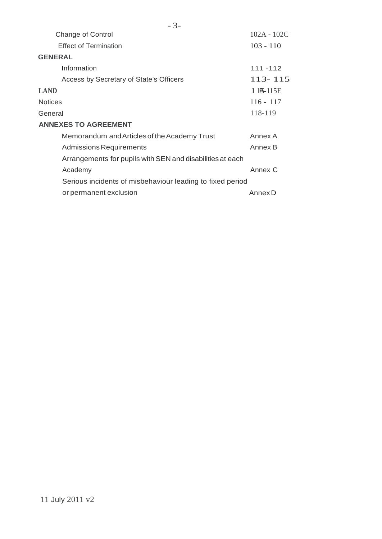|                | <b>Change of Control</b>                                  | $102A - 102C$ |
|----------------|-----------------------------------------------------------|---------------|
|                | <b>Effect of Termination</b>                              | $103 - 110$   |
| <b>GENERAL</b> |                                                           |               |
|                | Information                                               | 111 - 112     |
|                | Access by Secretary of State's Officers                   | $113 - 115$   |
| <b>LAND</b>    |                                                           | $115 - 115E$  |
| <b>Notices</b> |                                                           | $116 - 117$   |
| General        |                                                           | 118-119       |
|                | <b>ANNEXES TO AGREEMENT</b>                               |               |
|                | Memorandum and Articles of the Academy Trust              | Annex A       |
|                | <b>Admissions Requirements</b>                            | Annex B       |
|                | Arrangements for pupils with SEN and disabilities at each |               |
|                | Academy                                                   | Annex C       |
|                | Serious incidents of misbehaviour leading to fixed period |               |
|                | or permanent exclusion                                    | Annex D       |
|                |                                                           |               |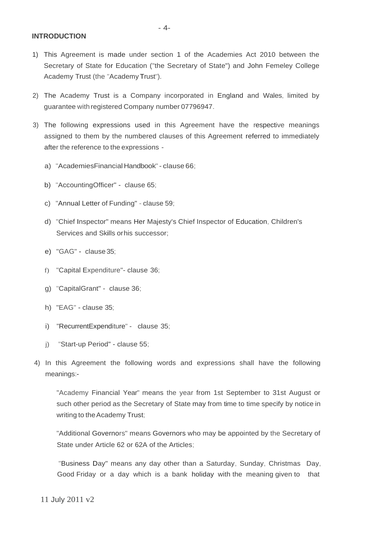**INTRODUCTION**

- 1) This Agreement is made under section 1 of the Academies Act 2010 between the Secretary of State for Education ("the Secretary of State") and John Femeley College Academy Trust (the "Academy Trust").
- 2) The Academy Trust is a Company incorporated in England and Wales, limited by guarantee with registered Company number 07796947.
- 3) The following expressions used in this Agreement have the respective meanings assigned to them by the numbered clauses of this Agreement referred to immediately after the reference to the expressions
	- a) "AcademiesFinancial Handbook" clause 66;
	- b) "AccountingOfficer" clause 65;
	- c) "Annual Letter of Funding" clause 59;
	- d) "Chief Inspector" means Her Majesty's Chief Inspector of Education, Children's Services and Skills orhis successor;
	- e) "GAG" clause35;
	- f) "Capital Expenditure"- clause 36;
	- g) "CapitalGrant" clause 36;
	- h) "EAG" clause 35;
	- i) "RecurrentExpenditure" clause 35;
	- j) "Start-up Period" clause 55;
- 4) In this Agreement the following words and expressions shall have the following meanings:-

"Academy Financial Year" means the year from 1st September to 31st August or such other period as the Secretary of State may from time to time specify by notice in writing to the Academy Trust;

"Additional Governors" means Governors who may be appointed by the Secretary of State under Article 62 or 62A of the Articles;

"Business Day" means any day other than a Saturday, Sunday, Christmas Day, Good Friday or a day which is a bank holiday with the meaning given to that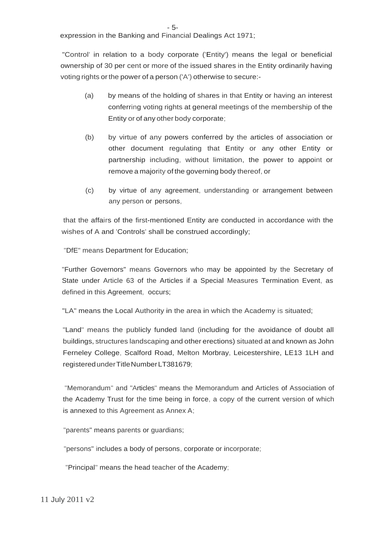expression in the Banking and Financial Dealings Act 1971;

"Control' in relation to a body corporate ('Entity') means the legal or beneficial ownership of 30 per cent or more of the issued shares in the Entity ordinarily having voting rights or the power of a person ('A') otherwise to secure:-

- (a) by means of the holding of shares in that Entity or having an interest conferring voting rights at general meetings of the membership of the Entity or of any other body corporate;
- (b) by virtue of any powers conferred by the articles of association or other document regulating that Entity or any other Entity or partnership including, without limitation, the power to appoint or remove a majority of the governing body thereof, or
- (c) by virtue of any agreement, understanding or arrangement between any person or persons,

that the affairs of the first-mentioned Entity are conducted in accordance with the wishes of A and 'Controls' shall be construed accordingly;

"DfE" means Department for Education;

"Further Governors" means Governors who may be appointed by the Secretary of State under Article 63 of the Articles if a Special Measures Termination Event, as defined in this Agreement, occurs;

"LA" means the Local Authority in the area in which the Academy is situated;

"Land" means the publicly funded land (including for the avoidance of doubt all buildings, structures landscaping and other erections) situated at and known as John Ferneley College, Scalford Road, Melton Morbray, Leicestershire, LE13 1LH and registeredunderTitleNumberLT381679;

"Memorandum" and "Articles" means the Memorandum and Articles of Association of the Academy Trust for the time being in force, a copy of the current version of which is annexed to this Agreement as Annex A;

"parents" means parents or guardians;

"persons" includes a body of persons, corporate or incorporate;

"Principal" means the head teacher of the Academy;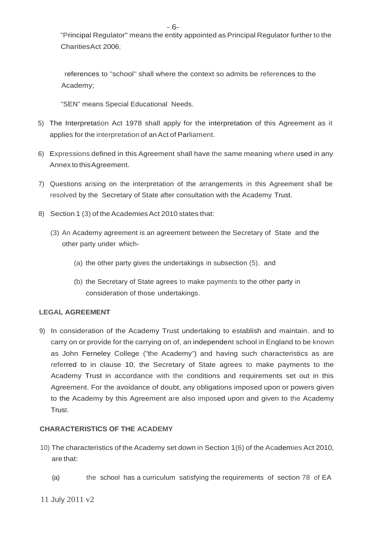"Principal Regulator" means the entity appointed as Principal Regulator further to the CharitiesAct 2006;

references to "school" shall where the context so admits be references to the Academy;

"SEN" means Special Educational Needs.

- 5) The Interpretation Act 1978 shall apply for the interpretation of this Agreement as it applies for the interpretation of anAct of Parliament.
- 6) Expressions defined in this Agreement shall have the same meaning where used in any Annex to this Agreement.
- 7) Questions arising on the interpretation of the arrangements in this Agreement shall be resolved by the Secretary of State after consultation with the Academy Trust.
- 8) Section 1 (3) of the Academies Act 2010 states that:
	- (3) An Academy agreement is an agreement between the Secretary of State and the other party under which-
		- (a) the other party gives the undertakings in subsection (5), and
		- (b) the Secretary of State agrees to make payments to the other party in consideration of those undertakings.

### **LEGAL AGREEMENT**

9) In consideration of the Academy Trust undertaking to establish and maintain, and to carry on or provide for the carrying on of, an independent school in England to be known as John Ferneley College ("the Academy") and having such characteristics as are referred to in clause 10, the Secretary of State agrees to make payments to the Academy Trust in accordance with the conditions and requirements set out in this Agreement. For the avoidance of doubt, any obligations imposed upon or powers given to the Academy by this Agreement are also imposed upon and given to the Academy Trust.

### **CHARACTERISTICS OF THE ACADEMY**

- 10) The characteristics of the Academy set down in Section 1(6) of the Academies Act 2010, are that:
	- (a) the school has a curriculum satisfying the requirements of section 78 of EA

11 July 2011 v2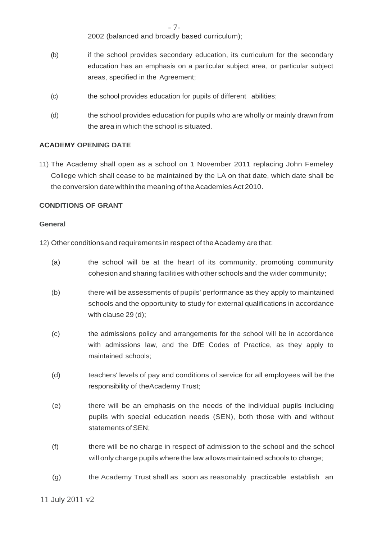- 7-

2002 (balanced and broadly based curriculum);

- (b) if the school provides secondary education, its curriculum for the secondary education has an emphasis on a particular subject area, or particular subject areas, specified in the Agreement;
- (c) the school provides education for pupils of different abilities;
- (d) the school provides education for pupils who are wholly or mainly drawn from the area in which the school is situated.

### **ACADEMY OPENING DATE**

11) The Academy shall open as a school on 1 November 2011 replacing John Femeley College which shall cease to be maintained by the LA on that date, which date shall be the conversion date within the meaning of the Academies Act 2010.

### **CONDITIONS OF GRANT**

#### **General**

12) Other conditions and requirements in respect of the Academy are that:

- (a) the school will be at the heart of its community, promoting community cohesion and sharing facilities with other schools and the wider community;
- (b) there will be assessments of pupils' performance as they apply to maintained schools and the opportunity to study for external qualifications in accordance with clause 29 (d);
- (c) the admissions policy and arrangements for the school will be in accordance with admissions law, and the DfE Codes of Practice, as they apply to maintained schools;
- (d) teachers' levels of pay and conditions of service for all employees will be the responsibility of theAcademy Trust;
- (e) there will be an emphasis on the needs of the individual pupils including pupils with special education needs (SEN), both those with and without statements of SEN:
- (f) there will be no charge in respect of admission to the school and the school will only charge pupils where the law allows maintained schools to charge;
- (g) the Academy Trust shall as soon as reasonably practicable establish an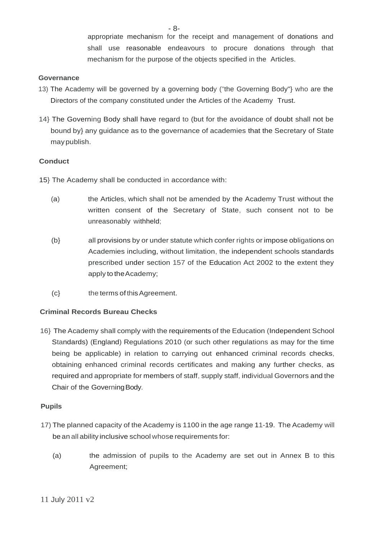appropriate mechanism for the receipt and management of donations and shall use reasonable endeavours to procure donations through that mechanism for the purpose of the objects specified in the Articles.

### **Governance**

- 13) The Academy will be governed by a governing body ("the Governing Body"} who are the Directors of the company constituted under the Articles of the Academy Trust.
- 14} The Governing Body shall have regard to (but for the avoidance of doubt shall not be bound by} any guidance as to the governance of academies that the Secretary of State maypublish.

### **Conduct**

- 15} The Academy shall be conducted in accordance with:
	- (a) the Articles, which shall not be amended by the Academy Trust without the written consent of the Secretary of State, such consent not to be unreasonably withheld;
	- (b} all provisions by or under statute which confer rights or impose obligations on Academies including, without limitation, the independent schools standards prescribed under section 157 of the Education Act 2002 to the extent they apply to theAcademy;
	- (c} the terms of thisAgreement.

### **Criminal Records Bureau Checks**

16} The Academy shall comply with the requirements of the Education (Independent School Standards) (England) Regulations 2010 (or such other regulations as may for the time being be applicable) in relation to carrying out enhanced criminal records checks, obtaining enhanced criminal records certificates and making any further checks, as required and appropriate for members of staff, supply staff, individual Governors and the Chair of the GoverningBody.

### **Pupils**

- 17) The planned capacity of the Academy is 1100 in the age range 11-19. The Academy will be an all ability inclusive school whose requirements for:
	- (a) the admission of pupils to the Academy are set out in Annex B to this Agreement;

- 8-

11 July 2011 v2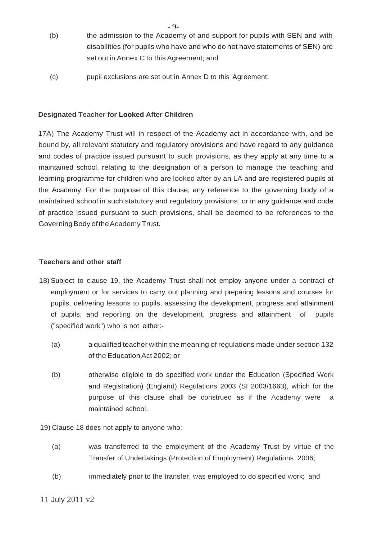- (b) the admission to the Academy of and support for pupils with SEN and with disabilities (for pupils who have and who do not have statements of SEN) are set out in Annex C to this Agreement; and
- (c) pupil exclusions are set out in Annex D to this Agreement.

### **Designated Teacher for Looked After Children**

17A) The Academy Trust will in respect of the Academy act in accordance with, and be bound by, all relevant statutory and regulatory provisions and have regard to any guidance and codes of practice issued pursuant to such provisions, as they apply at any time to a maintained school, relating to the designation of a person to manage the teaching and learning programme for children who are looked after by an LA and are registered pupils at the Academy. For the purpose of this clause, any reference to the governing body of a maintained school in such statutory and regulatory provisions, or in any guidance and code of practice issued pursuant to such provisions, shall be deemed to be references to the Governing Body of the Academy Trust.

#### **Teachers and other staff**

- 18) Subject to clause 19, the Academy Trust shall not employ anyone under a contract of employment or for services to carry out planning and preparing lessons and courses for pupils, delivering lessons to pupils, assessing the development, progress and attainment of pupils, and reporting on the development, progress and attainment of pupils ("specified work") who is not either:-
	- (a) a qualified teacher within the meaning of regulations made under section 132 of the Education Act 2002; or
	- (b) otherwise eligible to do specified work under the Education (Specified Work and Registration) (England) Regulations 2003 (SI 2003/1663), which for the purpose of this clause shall be construed as if the Academy were a maintained school.

19) Clause 18 does not apply to anyone who:

- (a) was transferred to the employment of the Academy Trust by virtue of the Transfer of Undertakings (Protection of Employment) Regulations 2006;
- (b) immediately prior to the transfer, was employed to do specified work; and

#### 11 July 2011 v2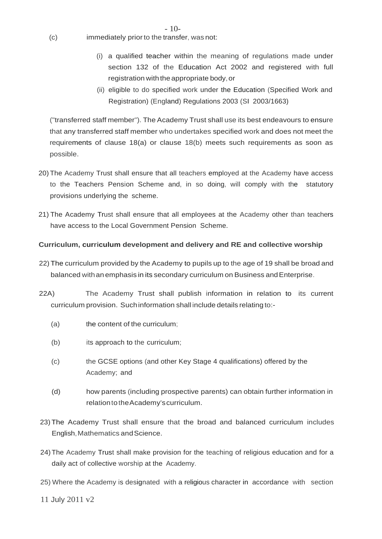- (c) immediately priorto the transfer, was not:
	- (i) a qualified teacher within the meaning of regulations made under section 132 of the Education Act 2002 and registered with full registration with the appropriate body, or
	- (ii) eligible to do specified work under the Education (Specified Work and Registration) (England) Regulations 2003 (SI 2003/1663)

("transferred staff member"). The Academy Trust shall use its best endeavours to ensure that any transferred staff member who undertakes specified work and does not meet the requirements of clause 18(a) or clause 18(b) meets such requirements as soon as possible.

 $-10-$ 

- 20) The Academy Trust shall ensure that all teachers employed at the Academy have access to the Teachers Pension Scheme and, in so doing, will comply with the statutory provisions underlying the scheme.
- 21) The Academy Trust shall ensure that all employees at the Academy other than teachers have access to the Local Government Pension Scheme.

## **Curriculum, curriculum development and delivery and RE and collective worship**

- 22) The curriculum provided by the Academy to pupils up to the age of 19 shall be broad and balanced withan emphasis in its secondary curriculum on Business andEnterprise.
- 22A) The Academy Trust shall publish information in relation to its current curriculum provision. Suchinformation shall include details relating to:-
	- (a) the content of the curriculum;
	- (b) its approach to the curriculum;
	- (c) the GCSE options (and other Key Stage 4 qualifications) offered by the Academy; and
	- (d) how parents (including prospective parents) can obtain further information in relationtotheAcademy'scurriculum.
- 23) The Academy Trust shall ensure that the broad and balanced curriculum includes English, Mathematics and Science.
- 24)The Academy Trust shall make provision for the teaching of religious education and for a daily act of collective worship at the Academy.
- 25) Where the Academy is designated with a religious character in accordance with section
- 11 July 2011 v2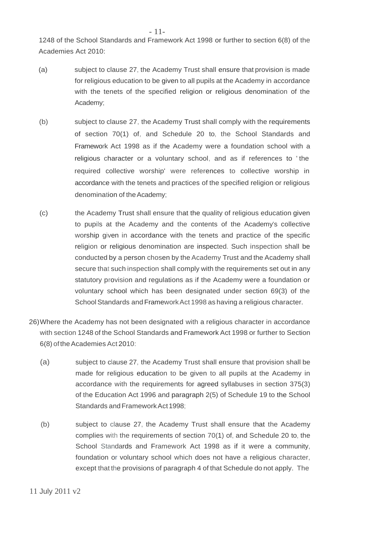1248 of the School Standards and Framework Act 1998 or further to section 6(8) of the Academies Act 2010:

- (a) subject to clause 27, the Academy Trust shall ensure that provision is made for religious education to be given to all pupils at the Academy in accordance with the tenets of the specified religion or religious denomination of the Academy;
- (b) subject to clause 27, the Academy Trust shall comply with the requirements of section 70(1) of, and Schedule 20 to, the School Standards and Framework Act 1998 as if the Academy were a foundation school with a religious character or a voluntary school, and as if references to ' the required collective worship' were references to collective worship in accordance with the tenets and practices of the specified religion or religious denomination of the Academy;
- (c) the Academy Trust shall ensure that the quality of religious education given to pupils at the Academy and the contents of the Academy's collective worship given in accordance with the tenets and practice of the specific religion or religious denomination are inspected. Such inspection shall be conducted by a person chosen by the Academy Trust and the Academy shall secure that such inspection shall comply with the requirements set out in any statutory provision and regulations as if the Academy were a foundation or voluntary school which has been designated under section 69(3) of the School Standards and Framework Act 1998 as having a religious character.
- 26)Where the Academy has not been designated with a religious character in accordance with section 1248 of the School Standards and Framework Act 1998 or further to Section 6(8) oftheAcademies Act 2010:
	- (a) subject to clause 27, the Academy Trust shall ensure that provision shall be made for religious education to be given to all pupils at the Academy in accordance with the requirements for agreed syllabuses in section 375(3) of the Education Act 1996 and paragraph 2(5) of Schedule 19 to the School Standards and Framework Act 1998:
	- (b) subject to clause 27, the Academy Trust shall ensure that the Academy complies with the requirements of section 70(1) of, and Schedule 20 to, the School Standards and Framework Act 1998 as if it were a community, foundation or voluntary school which does not have a religious character, except that the provisions of paragraph 4 of that Schedule do not apply. The

11 July 2011 v2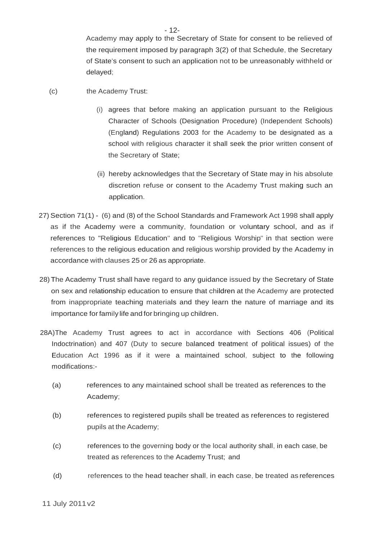Academy may apply to the Secretary of State for consent to be relieved of the requirement imposed by paragraph 3(2) of that Schedule, the Secretary of State's consent to such an application not to be unreasonably withheld or delayed;

- (c) the Academy Trust:
	- (i) agrees that before making an application pursuant to the Religious Character of Schools (Designation Procedure) (Independent Schools) (England) Regulations 2003 for the Academy to be designated as a school with religious character it shall seek the prior written consent of the Secretary of State;
	- (ii) hereby acknowledges that the Secretary of State may in his absolute discretion refuse or consent to the Academy Trust making such an application.
- 27) Section 71(1) (6) and (8) of the School Standards and Framework Act 1998 shall apply as if the Academy were a community, foundation or voluntary school, and as if references to "Religious Education" and to "Religious Worship" in that section were references to the religious education and religious worship provided by the Academy in accordance with clauses 25 or 26 as appropriate.
- 28) The Academy Trust shall have regard to any guidance issued by the Secretary of State on sex and relationship education to ensure that children at the Academy are protected from inappropriate teaching materials and they learn the nature of marriage and its importance for family life and for bringing up children.
- 28A)The Academy Trust agrees to act in accordance with Sections 406 (Political Indoctrination) and 407 (Duty to secure balanced treatment of political issues) of the Education Act 1996 as if it were a maintained school, subject to the following modifications:-
	- (a) references to any maintained school shall be treated as references to the Academy;
	- (b) references to registered pupils shall be treated as references to registered pupils at the Academy;
	- (c) references to the governing body or the local authority shall, in each case, be treated as references to the Academy Trust; and
	- (d) references to the head teacher shall, in each case, be treated as references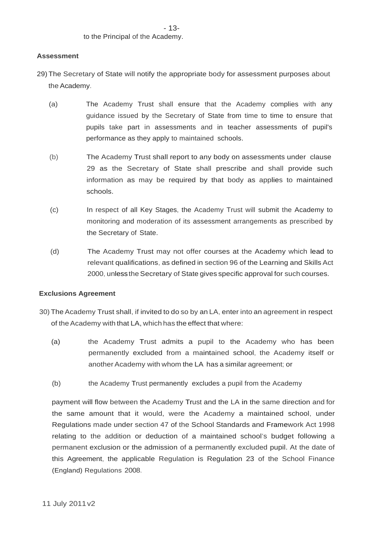### **Assessment**

- 29) The Secretary of State will notify the appropriate body for assessment purposes about the Academy.
	- (a) The Academy Trust shall ensure that the Academy complies with any guidance issued by the Secretary of State from time to time to ensure that pupils take part in assessments and in teacher assessments of pupil's performance as they apply to maintained schools.
	- (b) The Academy Trust shall report to any body on assessments under clause 29 as the Secretary of State shall prescribe and shall provide such information as may be required by that body as applies to maintained schools.
	- (c) In respect of all Key Stages, the Academy Trust will submit the Academy to monitoring and moderation of its assessment arrangements as prescribed by the Secretary of State.
	- (d) The Academy Trust may not offer courses at the Academy which lead to relevant qualifications, as defined in section 96 of the Learning and Skills Act 2000, unless the Secretary of State gives specific approval for such courses.

#### **Exclusions Agreement**

- 30) The Academy Trust shall, if invited to do so by an LA, enter into an agreement in respect of the Academy with that LA, which has the effect that where:
	- (a) the Academy Trust admits a pupil to the Academy who has been permanently excluded from a maintained school, the Academy itself or another Academy with whom the LA has a similar agreement; or
	- (b) the Academy Trust permanently excludes a pupil from the Academy

payment will flow between the Academy Trust and the LA in the same direction and for the same amount that it would, were the Academy a maintained school, under Regulations made under section 47 of the School Standards and Framework Act 1998 relating to the addition or deduction of a maintained school's budget following a permanent exclusion or the admission of a permanently excluded pupil. At the date of this Agreement, the applicable Regulation is Regulation 23 of the School Finance (England) Regulations 2008.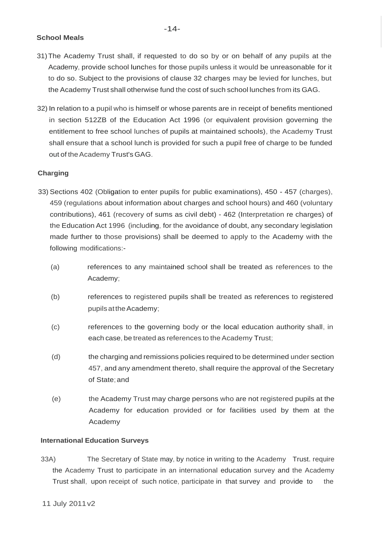### **School Meals**

- 31)The Academy Trust shall, if requested to do so by or on behalf of any pupils at the Academy, provide school lunches for those pupils unless it would be unreasonable for it to do so. Subject to the provisions of clause 32 charges may be levied for lunches, but the Academy Trust shall otherwise fund the cost of such school lunches from its GAG.
- 32) In relation to a pupil who is himself or whose parents are in receipt of benefits mentioned in section 512ZB of the Education Act 1996 (or equivalent provision governing the entitlement to free school lunches of pupils at maintained schools), the Academy Trust shall ensure that a school lunch is provided for such a pupil free of charge to be funded out of the Academy Trust's GAG.

### **Charging**

- 33) Sections 402 (Obligation to enter pupils for public examinations), 450 457 (charges), 459 (regulations about information about charges and school hours) and 460 (voluntary contributions), 461 (recovery of sums as civil debt) - 462 (Interpretation re charges) of the Education Act 1996 (including, for the avoidance of doubt, any secondary legislation made further to those provisions) shall be deemed to apply to the Academy with the following modifications:-
	- (a) references to any maintained school shall be treated as references to the Academy;
	- (b) references to registered pupils shall be treated as references to registered pupils at the Academy;
	- (c) references to the governing body or the local education authority shall, in each case, be treated as references to the Academy Trust;
	- (d) the charging and remissions policies required to be determined under section 457, and any amendment thereto, shall require the approval of the Secretary of State;and
	- (e) the Academy Trust may charge persons who are not registered pupils at the Academy for education provided or for facilities used by them at the Academy.

### **International Education Surveys**

33A) The Secretary of State may, by notice in writing to the Academy Trust. require the Academy Trust to participate in an international education survey and the Academy Trust shall, upon receipt of such notice, participate in that survey and provide to the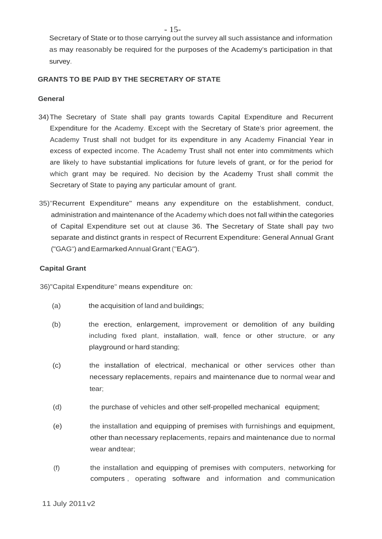Secretary of State or to those carrying out the survey all such assistance and information as may reasonably be required for the purposes of the Academy's participation in that survey.

#### **GRANTS TO BE PAID BY THE SECRETARY OF STATE**

#### **General**

- 34)The Secretary of State shall pay grants towards Capital Expenditure and Recurrent Expenditure for the Academy. Except with the Secretary of State's prior agreement, the Academy Trust shall not budget for its expenditure in any Academy Financial Year in excess of expected income. The Academy Trust shall not enter into commitments which are likely to have substantial implications for future levels of grant, or for the period for which grant may be required. No decision by the Academy Trust shall commit the Secretary of State to paying any particular amount of grant.
- 35)"Recurrent Expenditure" means any expenditure on the establishment, conduct, administration and maintenance of the Academy which does not fall within the categories of Capital Expenditure set out at clause 36. The Secretary of State shall pay two separate and distinct grants in respect of Recurrent Expenditure: General Annual Grant ("GAG") andEarmarkedAnnualGrant ("EAG").

#### **Capital Grant**

36)"Capital Expenditure" means expenditure on:

- (a) the acquisition of land and buildings;
- (b) the erection, enlargement, improvement or demolition of any building including fixed plant, installation, wall, fence or other structure, or any playground or hard standing;
- (c) the installation of electrical, mechanical or other services other than necessary replacements, repairs and maintenance due to normal wear and tear;
- (d) the purchase of vehicles and other self-propelled mechanical equipment;
- (e) the installation and equipping of premises with furnishings and equipment, other than necessary replacements, repairs and maintenance due to normal wear andtear;
- (f) the installation and equipping of premises with computers, networking for computers , operating software and information and communication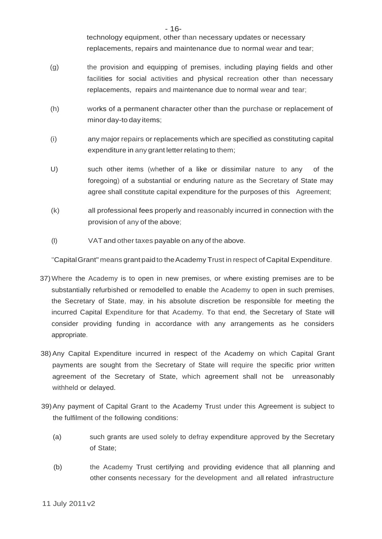technology equipment, other than necessary updates or necessary replacements, repairs and maintenance due to normal wear and tear;

- (g) the provision and equipping of premises, including playing fields and other facilities for social activities and physical recreation other than necessary replacements, repairs and maintenance due to normal wear and tear;
- (h) works of a permanent character other than the purchase or replacement of minor day-to day items;
- (i) any major repairs or replacements which are specified as constituting capital expenditure in any grant letter relating to them;
- U) such other items (whether of a like or dissimilar nature to any of the foregoing) of a substantial or enduring nature as the Secretary of State may agree shall constitute capital expenditure for the purposes of this Agreement;
- (k) all professional fees properly and reasonably incurred in connection with the provision of any of the above;
- (I) VATand other taxes payable on any of the above.

"CapitalGrant" means grant paid to theAcademy Trust in respect of Capital Expenditure.

- 37)Where the Academy is to open in new premises, or where existing premises are to be substantially refurbished or remodelled to enable the Academy to open in such premises, the Secretary of State, may, in his absolute discretion be responsible for meeting the incurred Capital Expenditure for that Academy. To that end, the Secretary of State will consider providing funding in accordance with any arrangements as he considers appropriate.
- 38) Any Capital Expenditure incurred in respect of the Academy on which Capital Grant payments are sought from the Secretary of State will require the specific prior written agreement of the Secretary of State, which agreement shall not be unreasonably withheld or delayed.
- 39)Any payment of Capital Grant to the Academy Trust under this Agreement is subject to the fulfilment of the following conditions:
	- (a) such grants are used solely to defray expenditure approved by the Secretary of State;
	- (b) the Academy Trust certifying and providing evidence that all planning and other consents necessary for the development and all related infrastructure

- 16-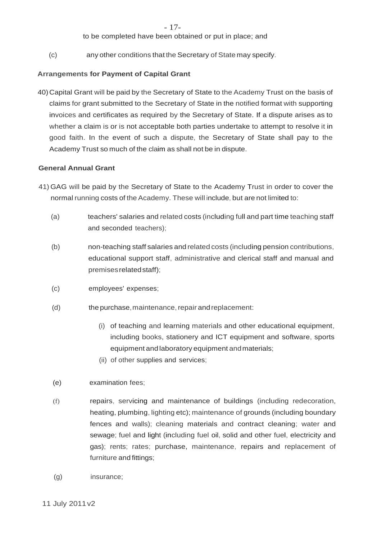to be completed have been obtained or put in place; and

(c) any other conditions that the Secretary of State may specify.

## **Arrangements for Payment of Capital Grant**

40)Capital Grant will be paid by the Secretary of State to the Academy Trust on the basis of claims for grant submitted to the Secretary of State in the notified format with supporting invoices and certificates as required by the Secretary of State. If a dispute arises as to whether a claim is or is not acceptable both parties undertake to attempt to resolve it in good faith. In the event of such a dispute, the Secretary of State shall pay to the Academy Trust so much of the claim as shall not be in dispute.

### **General Annual Grant**

- 41) GAG will be paid by the Secretary of State to the Academy Trust in order to cover the normal running costs of the Academy. These will include, but are not limited to:
	- (a) teachers' salaries and related costs (including full and part time teaching staff and seconded teachers);
	- (b) non-teaching staff salaries and related costs (including pension contributions, educational support staff, administrative and clerical staff and manual and premisesrelatedstaff);
	- (c) employees' expenses;
	- (d) the purchase, maintenance, repair and replacement:
		- (i) of teaching and learning materials and other educational equipment, including books, stationery and ICT equipment and software, sports equipment and laboratory equipment andmaterials;
		- (ii) of other supplies and services;
	- (e) examination fees;
	- (f) repairs, servicing and maintenance of buildings (including redecoration, heating, plumbing, lighting etc); maintenance of grounds (including boundary fences and walls); cleaning materials and contract cleaning; water and sewage; fuel and light (including fuel oil, solid and other fuel, electricity and gas); rents; rates; purchase, maintenance, repairs and replacement of furniture and fittings;
	- (g) insurance;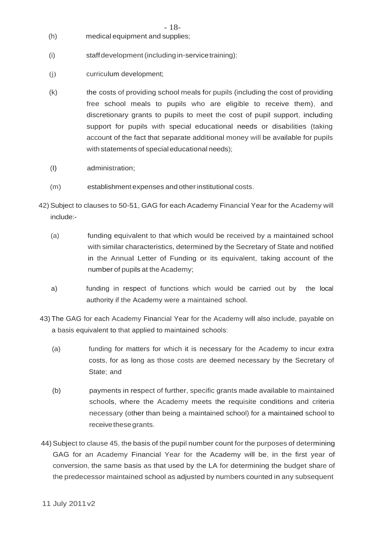- (h) medical equipment and supplies;
- (i) staff development (including in-service training);
- (j) curriculum development;
- (k) the costs of providing school meals for pupils (including the cost of providing free school meals to pupils who are eligible to receive them), and discretionary grants to pupils to meet the cost of pupil support, including support for pupils with special educational needs or disabilities (taking account of the fact that separate additional money will be available for pupils with statements of special educational needs);
- (I) administration;
- (m) establishmentexpenses and otherinstitutional costs.
- 42) Subject to clauses to 50-51, GAG for each Academy Financial Year for the Academy will include:-
	- (a) funding equivalent to that which would be received by a maintained school with similar characteristics, determined by the Secretary of State and notified in the Annual Letter of Funding or its equivalent, taking account of the number of pupils at the Academy;
	- a) funding in respect of functions which would be carried out by the local authority if the Academy were a maintained school.
- 43) The GAG for each Academy Financial Year for the Academy will also include, payable on a basis equivalent to that applied to maintained schools:
	- (a) funding for matters for which it is necessary for the Academy to incur extra costs, for as long as those costs are deemed necessary by the Secretary of State; and
	- (b) payments in respect of further, specific grants made available to maintained schools, where the Academy meets the requisite conditions and criteria necessary (other than being a maintained school) for a maintained school to receive these grants.
- 44)Subject to clause 45, the basis of the pupil number count for the purposes of determining GAG for an Academy Financial Year for the Academy will be, in the first year of conversion, the same basis as that used by the LA for determining the budget share of the predecessor maintained school as adjusted by numbers counted in any subsequent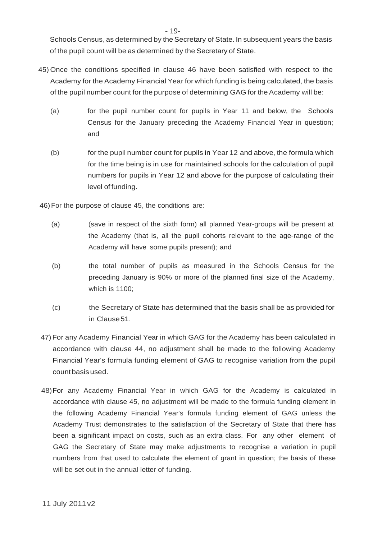Schools Census, as determined by the Secretary of State. In subsequent years the basis of the pupil count will be as determined by the Secretary of State.

- 45) Once the conditions specified in clause 46 have been satisfied with respect to the Academy for the Academy Financial Year for which funding is being calculated, the basis of the pupil number count for the purpose of determining GAG for the Academy will be:
	- (a) for the pupil number count for pupils in Year 11 and below, the Schools Census for the January preceding the Academy Financial Year in question; and
	- (b) for the pupil number count for pupils in Year 12 and above, the formula which for the time being is in use for maintained schools for the calculation of pupil numbers for pupils in Year 12 and above for the purpose of calculating their level of funding.

46)For the purpose of clause 45, the conditions are:

- (a) (save in respect of the sixth form) all planned Year-groups will be present at the Academy (that is, all the pupil cohorts relevant to the age-range of the Academy will have some pupils present); and
- (b) the total number of pupils as measured in the Schools Census for the preceding January is 90% or more of the planned final size of the Academy, which is 1100;
- (c) the Secretary of State has determined that the basis shall be as provided for in Clause51.
- 47)For any Academy Financial Year in which GAG for the Academy has been calculated in accordance with clause 44, no adjustment shall be made to the following Academy Financial Year's formula funding element of GAG to recognise variation from the pupil count basis used.
- 48)For any Academy Financial Year in which GAG for the Academy is calculated in accordance with clause 45, no adjustment will be made to the formula funding element in the following Academy Financial Year's formula funding element of GAG unless the Academy Trust demonstrates to the satisfaction of the Secretary of State that there has been a significant impact on costs, such as an extra class. For any other element of GAG the Secretary of State may make adjustments to recognise a variation in pupil numbers from that used to calculate the element of grant in question; the basis of these will be set out in the annual letter of funding.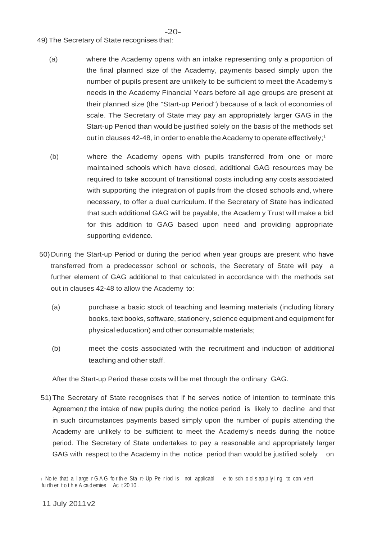#### -20-

#### 49) The Secretary of State recognises that:

- (a) where the Academy opens with an intake representing only a proportion of the final planned size of the Academy, payments based simply upon the number of pupils present are unlikely to be sufficient to meet the Academy's needs in the Academy Financial Years before all age groups are present at their planned size (the "Start-up Period") because of a lack of economies of scale. The Secretary of State may pay an appropriately larger GAG in the Start-up Period than would be justified solely on the basis of the methods set out in clauses 42-48, in order to enable the Academy to operate effectively;<sup>1</sup>
- (b) where the Academy opens with pupils transferred from one or more maintained schools which have closed, additional GAG resources may be required to take account of transitional costs including any costs associated with supporting the integration of pupils from the closed schools and, where necessary, to offer a dual curriculum. If the Secretary of State has indicated that such additional GAG will be payable, the Academ y Trust will make a bid for this addition to GAG based upon need and providing appropriate supporting evidence.
- 50)During the Start-up Period or during the period when year groups are present who have transferred from a predecessor school or schools, the Secretary of State will pay a further element of GAG additional to that calculated in accordance with the methods set out in clauses 42-48 to allow the Academy to:
	- (a) purchase a basic stock of teaching and learning materials (including library books, text books, software, stationery, science equipment and equipment for physical education) and other consumablematerials;
	- (b) meet the costs associated with the recruitment and induction of additional teaching and other staff.

After the Start-up Period these costs will be met through the ordinary GAG.

51)The Secretary of State recognises that if he serves notice of intention to terminate this Agreemen,t the intake of new pupils during the notice period is likely to decline and that in such circumstances payments based simply upon the number of pupils attending the Academy are unlikely to be sufficient to meet the Academy's needs during the notice period. The Secretary of State undertakes to pay a reasonable and appropriately larger GAG with respect to the Academy in the notice period than would be justified solely on

<sup>1</sup> No te that a l arge r G A G for the Sta rt- Up Pe riod is not applicabl e to schools applying to convert fu rth er to the A cademies Ac t 20 10.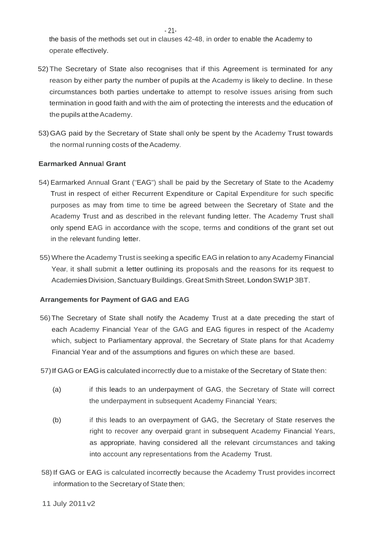the basis of the methods set out in clauses 42-48, in order to enable the Academy to operate effectively.

- 52)The Secretary of State also recognises that if this Agreement is terminated for any reason by either party the number of pupils at the Academy is likely to decline. In these circumstances both parties undertake to attempt to resolve issues arising from such termination in good faith and with the aim of protecting the interests and the education of the pupils at the Academy.
- 53)GAG paid by the Secretary of State shall only be spent by the Academy Trust towards the normal running costs of the Academy.

### **Earmarked Annual Grant**

- 54) Earmarked Annual Grant ("EAG") shall be paid by the Secretary of State to the Academy Trust in respect of either Recurrent Expenditure or Capital Expenditure for such specific purposes as may from time to time be agreed between the Secretary of State and the Academy Trust and as described in the relevant funding letter. The Academy Trust shall only spend EAG in accordance with the scope, terms and conditions of the grant set out in the relevant funding letter.
- 55) Where the Academy Trust is seeking a specific EAG in relation to any Academy Financial Year, it shall submit a letter outlining its proposals and the reasons for its request to Academies Division, Sanctuary Buildings, Great Smith Street, London SW1P 3BT.

### **Arrangements for Payment of GAG and EAG**

- 56)The Secretary of State shall notify the Academy Trust at a date preceding the start of each Academy Financial Year of the GAG and EAG figures in respect of the Academy which, subject to Parliamentary approval, the Secretary of State plans for that Academy Financial Year and of the assumptions and figures on which these are based.
- 57)If GAG or EAGis calculated incorrectly due to a mistake of the Secretary of State then:
	- (a) if this leads to an underpayment of GAG, the Secretary of State will correct the underpayment in subsequent Academy Financial Years;
	- (b) if this leads to an overpayment of GAG, the Secretary of State reserves the right to recover any overpaid grant in subsequent Academy Financial Years, as appropriate, having considered all the relevant circumstances and taking into account any representations from the Academy Trust.
- 58)If GAG or EAG is calculated incorrectly because the Academy Trust provides incorrect information to the Secretary of State then;

- 21-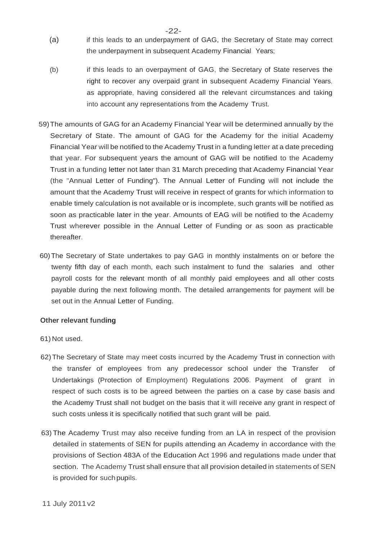- (a) if this leads to an underpayment of GAG, the Secretary of State may correct the underpayment in subsequent Academy Financial Years;
- (b) if this leads to an overpayment of GAG, the Secretary of State reserves the right to recover any overpaid grant in subsequent Academy Financial Years, as appropriate, having considered all the relevant circumstances and taking into account any representations from the Academy Trust.
- 59)The amounts of GAG for an Academy Financial Year will be determined annually by the Secretary of State. The amount of GAG for the Academy for the initial Academy Financial Year will be notified to the Academy Trust in a funding letter at a date preceding that year. For subsequent years the amount of GAG will be notified to the Academy Trust in a funding letter not later than 31 March preceding that Academy Financial Year (the "Annual Letter of Funding"). The Annual Letter of Funding will not include the amount that the Academy Trust will receive in respect of grants for which information to enable timely calculation is not available or is incomplete, such grants will be notified as soon as practicable later in the year. Amounts of EAG will be notified to the Academy Trust wherever possible in the Annual Letter of Funding or as soon as practicable thereafter.
- 60)The Secretary of State undertakes to pay GAG in monthly instalments on or before the twenty fifth day of each month, each such instalment to fund the salaries and other payroll costs for the relevant month of all monthly paid employees and all other costs payable during the next following month. The detailed arrangements for payment will be set out in the Annual Letter of Funding.

### **Other relevant funding**

- 61) Not used.
- 62)The Secretary of State may meet costs incurred by the Academy Trust in connection with the transfer of employees from any predecessor school under the Transfer of Undertakings (Protection of Employment) Regulations 2006. Payment of grant in respect of such costs is to be agreed between the parties on a case by case basis and the Academy Trust shall not budget on the basis that it will receive any grant in respect of such costs unless it is specifically notified that such grant will be paid.
- 63) The Academy Trust may also receive funding from an LA in respect of the provision detailed in statements of SEN for pupils attending an Academy in accordance with the provisions of Section 483A of the Education Act 1996 and regulations made under that section. The Academy Trust shall ensure that all provision detailed in statements of SEN is provided for such pupils.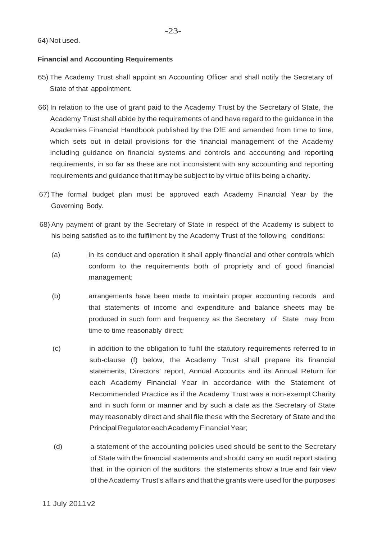#### 64) Not used.

#### **Financial and Accounting Requirements**

- 65) The Academy Trust shall appoint an Accounting Officer and shall notify the Secretary of State of that appointment.
- 66) In relation to the use of grant paid to the Academy Trust by the Secretary of State, the Academy Trust shall abide by the requirements of and have regard to the guidance in the Academies Financial Handbook published by the DfE and amended from time to time, which sets out in detail provisions for the financial management of the Academy including guidance on financial systems and controls and accounting and reporting requirements, in so far as these are not inconsistent with any accounting and reporting requirements and guidance that it may be subject to by virtue of its being a charity.
- 67) The formal budget plan must be approved each Academy Financial Year by the Governing Body.
- 68) Any payment of grant by the Secretary of State in respect of the Academy is subject to his being satisfied as to the fulfilment by the Academy Trust of the following conditions:
	- (a) in its conduct and operation it shall apply financial and other controls which conform to the requirements both of propriety and of good financial management;
	- (b) arrangements have been made to maintain proper accounting records and that statements of income and expenditure and balance sheets may be produced in such form and frequency as the Secretary of State may from time to time reasonably direct;
	- (c) in addition to the obligation to fulfil the statutory requirements referred to in sub-clause (f) below, the Academy Trust shall prepare its financial statements, Directors' report, Annual Accounts and its Annual Return for each Academy Financial Year in accordance with the Statement of Recommended Practice as if the Academy Trust was a non-exempt Charity and in such form or manner and by such a date as the Secretary of State may reasonably direct and shall file these with the Secretary of State and the Principal Regulator eachAcademy Financial Year;
	- (d) a statement of the accounting policies used should be sent to the Secretary of State with the financial statements and should carry an audit report stating that. in the opinion of the auditors. the statements show a true and fair view of theAcademy Trust's affairs and that the grants were used for the purposes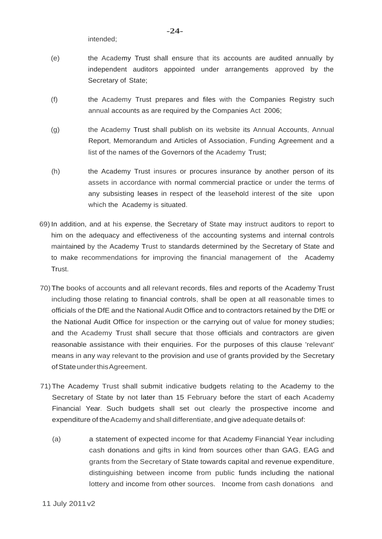intended;

- (f) the Academy Trust prepares and files with the Companies Registry such annual accounts as are required by the Companies Act 2006;
- (g) the Academy Trust shall publish on its website its Annual Accounts, Annual Report, Memorandum and Articles of Association, Funding Agreement and a list of the names of the Governors of the Academy Trust;
- (h) the Academy Trust insures or procures insurance by another person of its assets in accordance with normal commercial practice or under the terms of any subsisting leases in respect of the leasehold interest of the site upon which the Academy is situated.
- 69) In addition, and at his expense, the Secretary of State may instruct auditors to report to him on the adequacy and effectiveness of the accounting systems and internal controls maintained by the Academy Trust to standards determined by the Secretary of State and to make recommendations for improving the financial management of the Academy Trust.
- 70)The books of accounts and all relevant records, files and reports of the Academy Trust including those relating to financial controls, shall be open at all reasonable times to officials of the DfE and the National Audit Office and to contractors retained by the DfE or the National Audit Office for inspection or the carrying out of value for money studies; and the Academy Trust shall secure that those officials and contractors are given reasonable assistance with their enquiries. For the purposes of this clause 'relevant' means in any way relevant to the provision and use of grants provided by the Secretary of State under this Agreement.
- 71)The Academy Trust shall submit indicative budgets relating to the Academy to the Secretary of State by not later than 15 February before the start of each Academy Financial Year. Such budgets shall set out clearly the prospective income and expenditure of the Academy and shall differentiate, and give adequate details of:
	- (a) a statement of expected income for that Academy Financial Year including cash donations and gifts in kind from sources other than GAG, EAG and grants from the Secretary of State towards capital and revenue expenditure, distinguishing between income from public funds including the national lottery and income from other sources. Income from cash donations and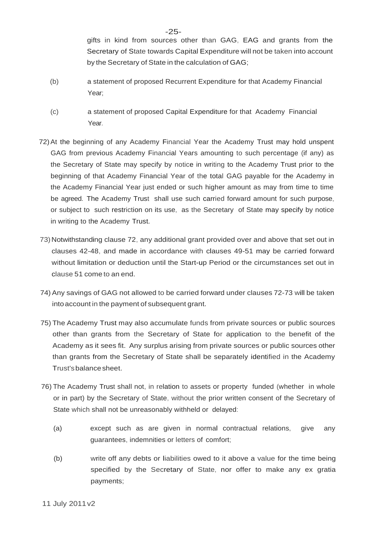gifts in kind from sources other than GAG, EAG and grants from the Secretary of State towards Capital Expenditure will not be taken into account by the Secretary of State in the calculation of GAG;

- (b) a statement of proposed Recurrent Expenditure for that Academy Financial Year;
- (c) a statement of proposed Capital Expenditure for that Academy Financial Year.
- 72)At the beginning of any Academy Financial Year the Academy Trust may hold unspent GAG from previous Academy Financial Years amounting to such percentage (if any) as the Secretary of State may specify by notice in writing to the Academy Trust prior to the beginning of that Academy Financial Year of the total GAG payable for the Academy in the Academy Financial Year just ended or such higher amount as may from time to time be agreed. The Academy Trust shall use such carried forward amount for such purpose, or subject to such restriction on its use, as the Secretary of State may specify by notice in writing to the Academy Trust.
- 73) Notwithstanding clause 72, any additional grant provided over and above that set out in clauses 42-48, and made in accordance with clauses 49-51 may be carried forward without limitation or deduction until the Start-up Period or the circumstances set out in clause 51 come to an end.
- 74) Any savings of GAG not allowed to be carried forward under clauses 72-73 will be taken into account in the payment of subsequent grant.
- 75) The Academy Trust may also accumulate funds from private sources or public sources other than grants from the Secretary of State for application to the benefit of the Academy as it sees fit. Any surplus arising from private sources or public sources other than grants from the Secretary of State shall be separately identified in the Academy Trust'sbalancesheet.
- 76) The Academy Trust shall not, in relation to assets or property funded (whether in whole or in part) by the Secretary of State, without the prior written consent of the Secretary of State which shall not be unreasonably withheld or delayed:
	- (a) except such as are given in normal contractual relations, give any guarantees, indemnities or letters of comfort;
	- (b) write off any debts or liabilities owed to it above a value for the time being specified by the Secretary of State, nor offer to make any ex gratia payments;

11 July 2011v2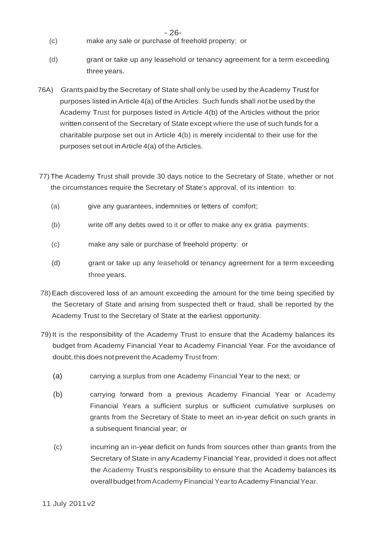- (c) make any sale or purchase of freehold property; or
- (d) grant or take up any leasehold or tenancy agreement for a term exceeding three years.
- 76A) Grants paid by the Secretary of State shall only be used by the Academy Trust for purposes listed in Article 4(a) of theArticles. Such funds shall not be used by the Academy Trust for purposes listed in Article 4(b) of the Articles without the prior written consent of the Secretary of State except where the use of such funds for a charitable purpose set out in Article 4(b) is merely incidental to their use for the purposes set out in Article 4(a) of the Articles.
- 77) The Academy Trust shall provide 30 days notice to the Secretary of State, whether or not the circumstances require the Secretary of State's approval, of its intention to:
	- (a) give any guarantees, indemnities or letters of comfort;
	- (b) write off any debts owed to it or offer to make any ex gratia payments;
	- (c) make any sale or purchase of freehold property; or
	- (d) grant or take up any leasehold or tenancy agreement for a term exceeding three years.
- 78)Each discovered loss of an amount exceeding the amount for the time being specified by the Secretary of State and arising from suspected theft or fraud, shall be reported by the Academy Trust to the Secretary of State at the earliest opportunity.
- 79)It is the responsibility of the Academy Trust to ensure that the Academy balances its budget from Academy Financial Year to Academy Financial Year. For the avoidance of doubt, this does not prevent the Academy Trust from:
	- (a) carrying a surplus from one Academy Financial Year to the next; or
	- (b) carrying forward from a previous Academy Financial Year or Academy Financial Years a sufficient surplus or sufficient cumulative surpluses on grants from the Secretary of State to meet an in-year deficit on such grants in a subsequent financial year; or
	- (c) incurring an in-year deficit on funds from sources other than grants from the Secretary of State in any Academy Financial Year, provided it does not affect the Academy Trust's responsibility to ensure that the Academy balances its overall budget from Academy Financial Yearto Academy Financial Year.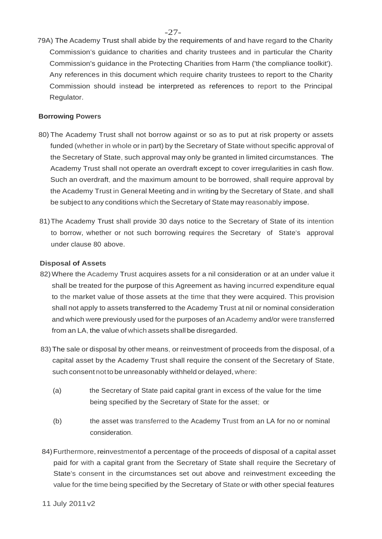- -27-
- 79A) The Academy Trust shall abide by the requirements of and have regard to the Charity Commission's guidance to charities and charity trustees and in particular the Charity Commission's guidance in the Protecting Charities from Harm ('the compliance toolkit'). Any references in this document which require charity trustees to report to the Charity Commission should instead be interpreted as references to report to the Principal Regulator.

### **Borrowing Powers**

- 80) The Academy Trust shall not borrow against or so as to put at risk property or assets funded (whether in whole or in part) by the Secretary of State without specific approval of the Secretary of State, such approval may only be granted in limited circumstances. The Academy Trust shall not operate an overdraft except to cover irregularities in cash flow. Such an overdraft, and the maximum amount to be borrowed, shall require approval by the Academy Trust in General Meeting and in writing by the Secretary of State, and shall be subject to any conditions which the Secretary of State may reasonably impose.
- 81)The Academy Trust shall provide 30 days notice to the Secretary of State of its intention to borrow, whether or not such borrowing requires the Secretary of State's approval under clause 80 above.

#### **Disposal of Assets**

- 82)Where the Academy Trust acquires assets for a nil consideration or at an under value it shall be treated for the purpose of this Agreement as having incurred expenditure equal to the market value of those assets at the time that they were acquired. This provision shall not apply to assets transferred to the Academy Trust at nil or nominal consideration and which were previously used for the purposes of an Academy and/or were transferred from an LA, the value of which assets shall be disregarded.
- 83)The sale or disposal by other means, or reinvestment of proceeds from the disposal, of a capital asset by the Academy Trust shall require the consent of the Secretary of State, such consent notto be unreasonably withheld or delayed, where:
	- (a) the Secretary of State paid capital grant in excess of the value for the time being specified by the Secretary of State for the asset; or
	- (b) the asset was transferred to the Academy Trust from an LA for no or nominal consideration.
- 84)Furthermore, reinvestmentof a percentage of the proceeds of disposal of a capital asset paid for with a capital grant from the Secretary of State shall require the Secretary of State's consent in the circumstances set out above and reinvestment exceeding the value for the time being specified by the Secretary of State or with other special features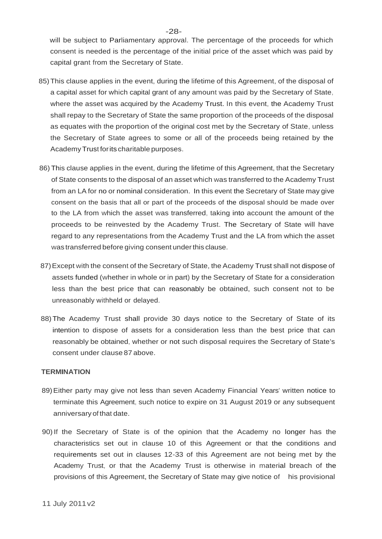will be subject to Parliamentary approval. The percentage of the proceeds for which consent is needed is the percentage of the initial price of the asset which was paid by capital grant from the Secretary of State.

- 85)This clause applies in the event, during the lifetime of this Agreement, of the disposal of a capital asset for which capital grant of any amount was paid by the Secretary of State, where the asset was acquired by the Academy Trust. In this event, the Academy Trust shall repay to the Secretary of State the same proportion of the proceeds of the disposal as equates with the proportion of the original cost met by the Secretary of State, unless the Secretary of State agrees to some or all of the proceeds being retained by the AcademyTrust forits charitable purposes.
- 86) This clause applies in the event, during the lifetime of this Agreement, that the Secretary of State consents to the disposal of an asset which was transferred to the Academy Trust from an LA for no or nominal consideration. In this event the Secretary of State may give consent on the basis that all or part of the proceeds of the disposal should be made over to the LA from which the asset was transferred, taking into account the amount of the proceeds to be reinvested by the Academy Trust. The Secretary of State will have regard to any representations from the Academy Trust and the LA from which the asset was transferred before giving consent under this clause.
- 87)Except with the consent of the Secretary of State, the Academy Trust shall not dispose of assets funded (whether in whole or in part) by the Secretary of State for a consideration less than the best price that can reasonably be obtained, such consent not to be unreasonably withheld or delayed.
- 88)The Academy Trust shall provide 30 days notice to the Secretary of State of its intention to dispose of assets for a consideration less than the best price that can reasonably be obtained, whether or not such disposal requires the Secretary of State's consent under clause 87 above.

#### **TERMINATION**

- 89)Either party may give not less than seven Academy Financial Years' written notice to terminate this Agreement, such notice to expire on 31 August 2019 or any subsequent anniversary of that date.
- 90)If the Secretary of State is of the opinion that the Academy no longer has the characteristics set out in clause 10 of this Agreement or that the conditions and requirements set out in clauses 12-33 of this Agreement are not being met by the Academy Trust, or that the Academy Trust is otherwise in material breach of the provisions of this Agreement, the Secretary of State may give notice of his provisional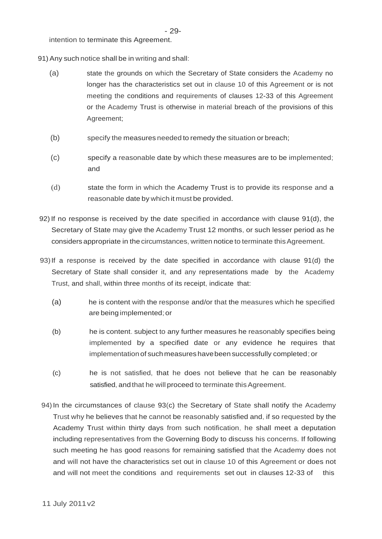intention to terminate this Agreement.

- 91) Any such notice shall be in writing and shall:
	- (a) state the grounds on which the Secretary of State considers the Academy no longer has the characteristics set out in clause 10 of this Agreement or is not meeting the conditions and requirements of clauses 12-33 of this Agreement or the Academy Trust is otherwise in material breach of the provisions of this Agreement;
	- (b) specify the measures needed to remedy the situation or breach;
	- (c) specify a reasonable date by which these measures are to be implemented; and
	- (d) state the form in which the Academy Trust is to provide its response and a reasonable date by which it must be provided.
- 92)If no response is received by the date specified in accordance with clause 91(d), the Secretary of State may give the Academy Trust 12 months, or such lesser period as he considers appropriate in the circumstances, written notice to terminate this Agreement.
- 93)If a response is received by the date specified in accordance with clause 91(d) the Secretary of State shall consider it, and any representations made by the Academy Trust, and shall, within three months of its receipt, indicate that:
	- (a) he is content with the response and/or that the measures which he specified are being implemented;or
	- (b) he is content. subject to any further measures he reasonably specifies being implemented by a specified date or any evidence he requires that implementation of such measures have been successfully completed; or
	- (c) he is not satisfied, that he does not believe that he can be reasonably satisfied, and that he will proceed to terminate this Agreement.
- 94) In the circumstances of clause  $93(c)$  the Secretary of State shall notify the Academy Trust why he believes that he cannot be reasonably satisfied and, if so requested by the Academy Trust within thirty days from such notification, he shall meet a deputation including representatives from the Governing Body to discuss his concerns. If following such meeting he has good reasons for remaining satisfied that the Academy does not and will not have the characteristics set out in clause 10 of this Agreement or does not and will not meet the conditions and requirements set out in clauses 12-33 of this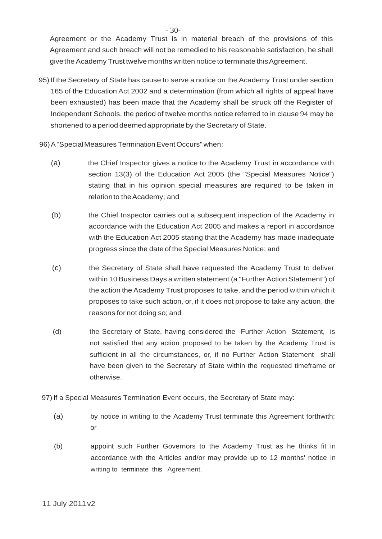Agreement or the Academy Trust is in material breach of the provisions of this Agreement and such breach will not be remedied to his reasonable satisfaction, he shall give the Academy Trust twelve months written notice to terminate this Agreement.

- 95)If the Secretary of State has cause to serve a notice on the Academy Trust under section 165 of the Education Act 2002 and a determination (from which all rights of appeal have been exhausted) has been made that the Academy shall be struck off the Register of Independent Schools, the period of twelve months notice referred to in clause 94 may be shortened to a period deemed appropriate by the Secretary of State.
- 96) A "Special Measures Termination Event Occurs" when:
	- (a) the Chief Inspector gives a notice to the Academy Trust in accordance with section 13(3) of the Education Act 2005 (the "Special Measures Notice") stating that in his opinion special measures are required to be taken in relation to the Academy; and
	- (b) the Chief Inspector carries out a subsequent inspection of the Academy in accordance with the Education Act 2005 and makes a report in accordance with the Education Act 2005 stating that the Academy has made inadequate progress since the date of the Special Measures Notice; and
	- (c) the Secretary of State shall have requested the Academy Trust to deliver within 10 Business Days a written statement (a "Further Action Statement") of the action the Academy Trust proposes to take, and the period within which it proposes to take such action, or, if it does not propose to take any action, the reasons for not doing so; and
	- (d) the Secretary of State, having considered the Further Action Statement, is not satisfied that any action proposed to be taken by the Academy Trust is sufficient in all the circumstances, or, if no Further Action Statement shall have been given to the Secretary of State within the requested timeframe or otherwise.
- 97) If a Special Measures Termination Event occurs, the Secretary of State may:
	- (a) by notice in writing to the Academy Trust terminate this Agreement forthwith; or
	- (b) appoint such Further Governors to the Academy Trust as he thinks fit in accordance with the Articles and/or may provide up to 12 months' notice in writing to terminate this Agreement.

- 30-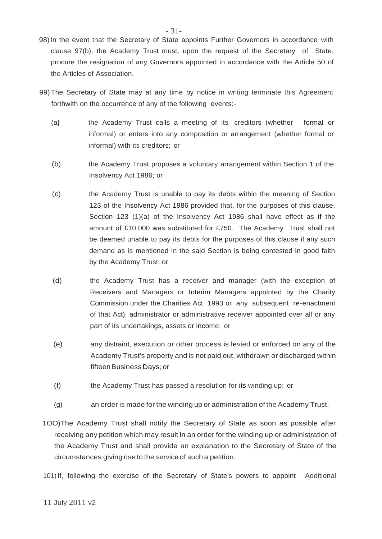- 98)In the event that the Secretary of State appoints Further Governors in accordance with clause 97(b), the Academy Trust must, upon the request of the Secretary of State, procure the resignation of any Governors appointed in accordance with the Article 50 of the Articles of Association.
- 99)The Secretary of State may at any time by notice in writing terminate this Agreement forthwith on the occurrence of any of the following events:-
	- (a} the Academy Trust calls a meeting of its creditors (whether formal or informal) or enters into any composition or arrangement (whether formal or informal) with its creditors; or
	- (b) the Academy Trust proposes a voluntary arrangement within Section 1 of the Insolvency Act 1986; or
	- (c) the Academy Trust is unable to pay its debts within the meaning of Section 123 of the Insolvency Act 1986 provided that, for the purposes of this clause, Section 123 (1)(a) of the Insolvency Act 1986 shall have effect as if the amount of £10,000 was substituted for £750. The Academy Trust shall not be deemed unable to pay its debts for the purposes of this clause if any such demand as is mentioned in the said Section is being contested in good faith by the Academy Trust; or
	- (d) the Academy Trust has a receiver and manager (with the exception of Receivers and Managers or Interim Managers appointed by the Charity Commission under the Charities Act 1993 or any subsequent re-enactment of that Act), administrator or administrative receiver appointed over all or any part of its undertakings, assets or income; or
	- (e) any distraint, execution or other process is levied or enforced on any of the Academy Trust's property and is not paid out, withdrawn or discharged within fifteen Business Days; or
	- (f) the Academy Trust has passed a resolution for its winding up; or
	- (g) an order is made for the winding up or administration of the Academy Trust.
- 1OO)The Academy Trust shall notify the Secretary of State as soon as possible after receiving any petition which may result in an order for the winding up or administration of the Academy Trust and shall provide an explanation to the Secretary of State of the circumstances giving rise to the service of such a petition.
- 101)If, following the exercise of the Secretary of State's powers to appoint Additional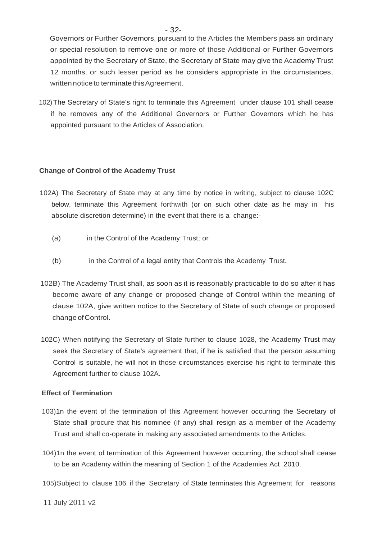Governors or Further Governors, pursuant to the Articles the Members pass an ordinary or special resolution to remove one or more of those Additional or Further Governors appointed by the Secretary of State, the Secretary of State may give the Academy Trust 12 months, or such lesser period as he considers appropriate in the circumstances, written notice to terminate this Agreement.

102)The Secretary of State's right to terminate this Agreement under clause 101 shall cease if he removes any of the Additional Governors or Further Governors which he has appointed pursuant to the Articles of Association.

#### **Change of Control of the Academy Trust**

- 102A) The Secretary of State may at any time by notice in writing, subject to clause 102C below, terminate this Agreement forthwith (or on such other date as he may in his absolute discretion determine) in the event that there is a change:-
	- (a) in the Control of the Academy Trust; or
	- (b) in the Control of a legal entity that Controls the Academy Trust.
- 102B) The Academy Trust shall, as soon as it is reasonably practicable to do so after it has become aware of any change or proposed change of Control within the meaning of clause 102A, give written notice to the Secretary of State of such change or proposed change ofControl.
- 102C) When notifying the Secretary of State further to clause 1028, the Academy Trust may seek the Secretary of State's agreement that, if he is satisfied that the person assuming Control is suitable, he will not in those circumstances exercise his right to terminate this Agreement further to clause 102A.

#### **Effect of Termination**

- 103)1n the event of the termination of this Agreement however occurring the Secretary of State shall procure that his nominee (if any) shall resign as a member of the Academy Trust and shall co-operate in making any associated amendments to the Articles.
- 104)1n the event of termination of this Agreement however occurring, the school shall cease to be an Academy within the meaning of Section 1 of the Academies Act 2010.
- 105)Subject to clause 106, if the Secretary of State terminates this Agreement for reasons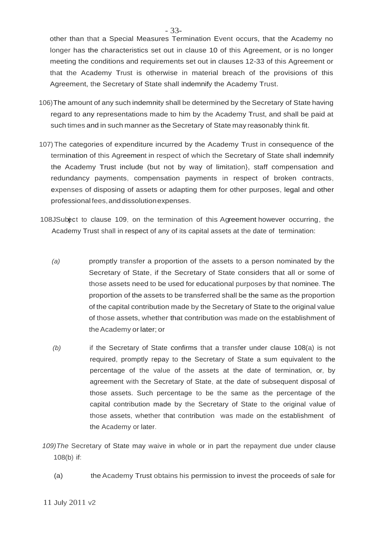other than that a Special Measures Termination Event occurs, that the Academy no longer has the characteristics set out in clause 10 of this Agreement, or is no longer meeting the conditions and requirements set out in clauses 12-33 of this Agreement or that the Academy Trust is otherwise in material breach of the provisions of this Agreement, the Secretary of State shall indemnify the Academy Trust.

- 106)The amount of any such indemnity shall be determined by the Secretary of State having regard to any representations made to him by the Academy Trust, and shall be paid at such times and in such manner as the Secretary of State may reasonably think fit.
- 107)The categories of expenditure incurred by the Academy Trust in consequence of the termination of this Agreement in respect of which the Secretary of State shall indemnify the Academy Trust include (but not by way of limitation}, staff compensation and redundancy payments, compensation payments in respect of broken contracts, expenses of disposing of assets or adapting them for other purposes, legal and other professional fees,anddissolutionexpenses.
- 108JSubect to clause 109, on the termination of this Agreement however occurring, the Academy Trust shall in respect of any of its capital assets at the date of termination:
	- *(a)* promptly transfer a proportion of the assets to a person nominated by the Secretary of State, if the Secretary of State considers that all or some of those assets need to be used for educational purposes by that nominee. The proportion of the assets to be transferred shall be the same as the proportion of the capital contribution made by the Secretary of State to the original value of those assets, whether that contribution was made on the establishment of theAcademy or later; or
	- *(b)* if the Secretary of State confirms that a transfer under clause 108(a) is not required, promptly repay to the Secretary of State a sum equivalent to the percentage of the value of the assets at the date of termination, or, by agreement with the Secretary of State, at the date of subsequent disposal of those assets. Such percentage to be the same as the percentage of the capital contribution made by the Secretary of State to the original value of those assets, whether that contribution was made on the establishment of the Academy or later.
- *109)The* Secretary of State may waive in whole or in part the repayment due under clause 108(b) if:
	- (a) the Academy Trust obtains his permission to invest the proceeds of sale for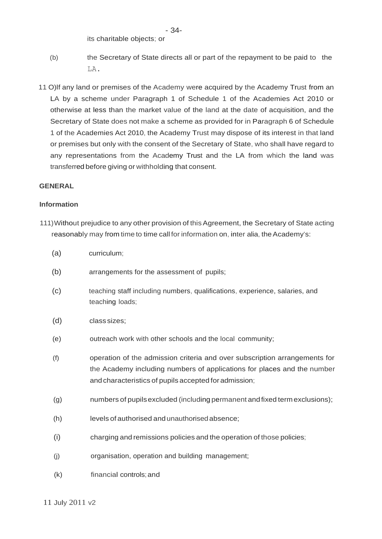its charitable objects; or

- (b) the Secretary of State directs all or part of the repayment to be paid to the LA.
- 11 O)lf any land or premises of the Academy were acquired by the Academy Trust from an LA by a scheme under Paragraph 1 of Schedule 1 of the Academies Act 2010 or otherwise at less than the market value of the land at the date of acquisition, and the Secretary of State does not make a scheme as provided for in Paragraph 6 of Schedule 1 of the Academies Act 2010, the Academy Trust may dispose of its interest in that land or premises but only with the consent of the Secretary of State, who shall have regard to any representations from the Academy Trust and the LA from which the land was transferred before giving or withholding that consent.

#### **GENERAL**

#### **Information**

- 111)Without prejudice to any other provision of thisAgreement, the Secretary of State acting reasonably may from time to time call for information on, inter alia, the Academy's:
	- (a) curriculum;
	- (b) arrangements for the assessment of pupils;
	- (c) teaching staff including numbers, qualifications, experience, salaries, and teaching loads;
	- (d) class sizes;
	- (e) outreach work with other schools and the local community;
	- (f) operation of the admission criteria and over subscription arrangements for the Academy including numbers of applications for places and the number andcharacteristics of pupils accepted for admission;
	- (g) numbers of pupilsexcluded (including permanent andfixed term exclusions);
	- (h) levels of authorised and unauthorisedabsence;
	- (i) charging and remissions policies and the operation of those policies;
	- (j) organisation, operation and building management;
	- (k) financial controls;and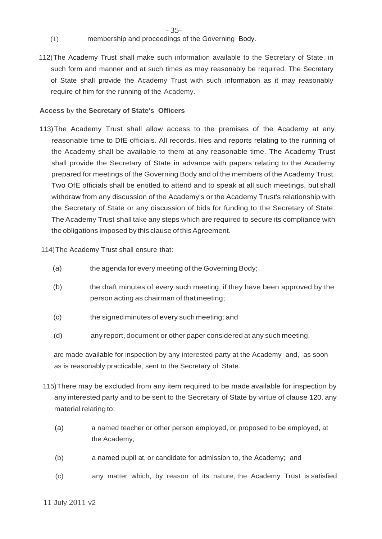- (1) membership and proceedings of the Governing Body.
- 112)The Academy Trust shall make such information available to the Secretary of State, in such form and manner and at such times as may reasonably be required. The Secretary of State shall provide the Academy Trust with such information as it may reasonably require of him for the running of the Academy.

### **Access by the Secretary of State's Officers**

113)The Academy Trust shall allow access to the premises of the Academy at any reasonable time to DfE officials. All records, files and reports relating to the running of the Academy shall be available to them at any reasonable time. The Academy Trust shall provide the Secretary of State in advance with papers relating to the Academy prepared for meetings of the Governing Body and of the members of the Academy Trust. Two OfE officials shall be entitled to attend and to speak at all such meetings, but shall withdraw from any discussion of the Academy's or the Academy Trust's relationship with the Secretary of State or any discussion of bids for funding to the Secretary of State. The Academy Trust shall take any steps which are required to secure its compliance with the obligations imposed by this clause of this Agreement.

114)The Academy Trust shall ensure that:

- (a) the agenda for every meeting of the Governing Body;
- (b) the draft minutes of every such meeting, if they have been approved by the person acting as chairman of thatmeeting;
- (c) the signed minutes of every such meeting; and
- (d) any report, document or other paper considered at any such meeting,

are made available for inspection by any interested party at the Academy and, as soon as is reasonably practicable, sent to the Secretary of State.

- 115)There may be excluded from any item required to be made available for inspection by any interested party and to be sent to the Secretary of State by virtue of clause 120, any material relating to:
	- (a) a named teacher or other person employed, or proposed to be employed, at the Academy;
	- (b) a named pupil at, or candidate for admission to, the Academy; and
	- (c) any matter which, by reason of its nature, the Academy Trust is satisfied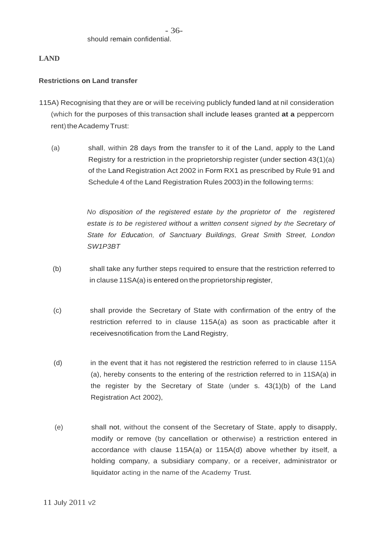### **LAND**

### **Restrictions on Land transfer**

- 115A) Recognising that they are or will be receiving publicly funded land at nil consideration (which for the purposes of this transaction shall include leases granted **at a** peppercorn rent) the Academy Trust:
	- (a) shall, within 28 days from the transfer to it of the Land, apply to the Land Registry for a restriction in the proprietorship register (under section 43(1)(a) of the Land Registration Act 2002 in Form RX1 as prescribed by Rule 91 and Schedule 4 of the Land Registration Rules 2003) in the following terms:

*No disposition of the registered estate by the proprietor of the registered estate is to be registered without* a *written consent signed by the Secretary of State for Education, of Sanctuary Buildings, Great Smith Street, London SW1P3BT*

- (b) shall take any further steps required to ensure that the restriction referred to in clause 11SA(a) is entered on the proprietorship register,
- (c) shall provide the Secretary of State with confirmation of the entry of the restriction referred to in clause 115A(a) as soon as practicable after it receivesnotification from the Land Registry,
- (d) in the event that it has not registered the restriction referred to in clause 115A (a), hereby consents to the entering of the restriction referred to in 11SA(a) in the register by the Secretary of State (under s. 43(1)(b) of the Land Registration Act 2002),
- (e) shall not, without the consent of the Secretary of State, apply to disapply, modify or remove (by cancellation or otherwise) a restriction entered in accordance with clause 115A(a) or 115A(d) above whether by itself, a holding company, a subsidiary company, or a receiver, administrator or liquidator acting in the name of the Academy Trust.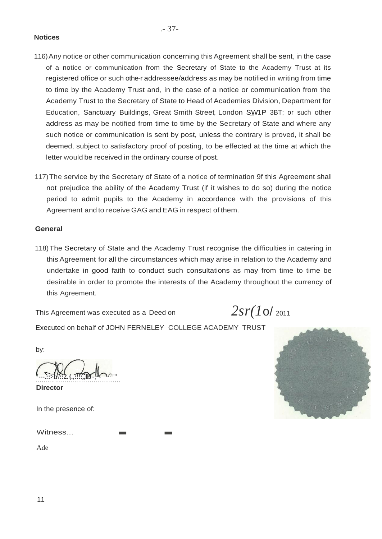### **Notices**

- 116)Any notice or other communication concerning this Agreement shall be sent, in the case of a notice or communication from the Secretary of State to the Academy Trust at its registered office or such othe-r addressee/address as may be notified in writing from time to time by the Academy Trust and, in the case of a notice or communication from the Academy Trust to the Secretary of State to Head of Academies Division, Department for Education, Sanctuary Buildings, Great Smith Street, London SW1P 3BT; or such other address as may be notified from time to time by the Secretary of State and where any such notice or communication is sent by post, unless the contrary is proved, it shall be deemed, subject to satisfactory proof of posting, to be effected at the time at which the letter would be received in the ordinary course of post.
- 117)The service by the Secretary of State of a notice of termination 9f this Agreement shall not prejudice the ability of the Academy Trust (if it wishes to do so) during the notice period to admit pupils to the Academy in accordance with the provisions of this Agreement and to receive GAG and EAG in respect of them.

#### **General**

118)The Secretary of State and the Academy Trust recognise the difficulties in catering in this Agreement for all the circumstances which may arise in relation to the Academy and undertake in good faith to conduct such consultations as may from time to time be desirable in order to promote the interests of the Academy throughout the currency of this Agreement.

This Agreement was executed as a Deed on  $2sr(10/2011)$ 

Executed on behalf of JOHN FERNELEY COLLEGE ACADEMY TRUST

by:

**'---.::>lr/::2.{.,:!!:,,llJ**-, - · "' ············································ Witness... . .

**Director**

In the presence of:

Ade

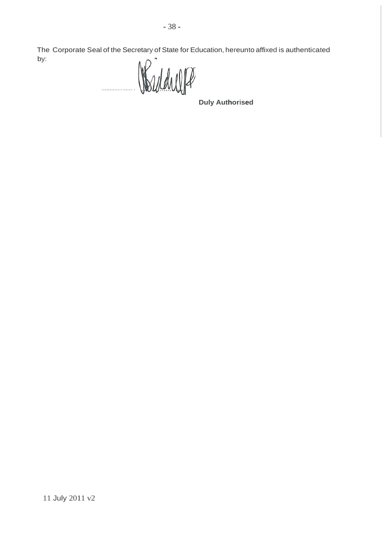The Corporate Seal of the Secretary of State for Education, hereunto affixed is authenticated by:

Werdelle ................... .

**Duly Authorised**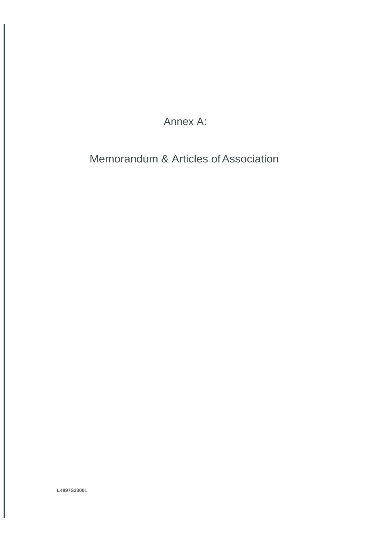Annex A:

Memorandum & Articles of Association

**L4897S28001**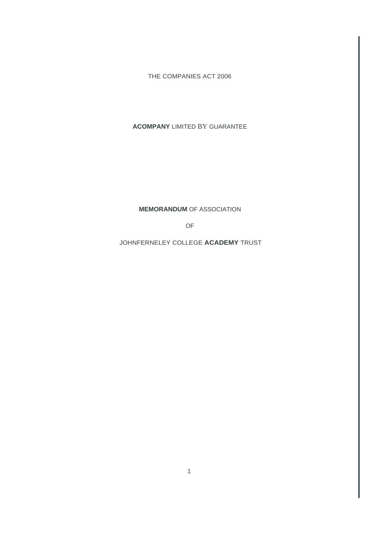THE COMPANIES ACT 2006

#### **ACOMPANY** LIMITED BY GUARANTEE

**MEMORANDUM** OF ASSOCIATION

OF

JOHNFERNELEY COLLEGE **ACADEMY** TRUST